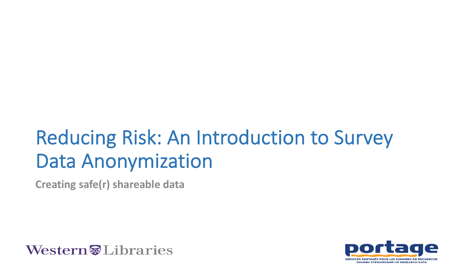# Reducing Risk: An Introduction to Survey Data Anonymization

**Creating safe(r) shareable data**



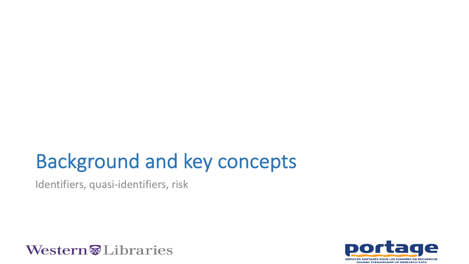## Background and key concepts

Identifiers, quasi-identifiers, risk



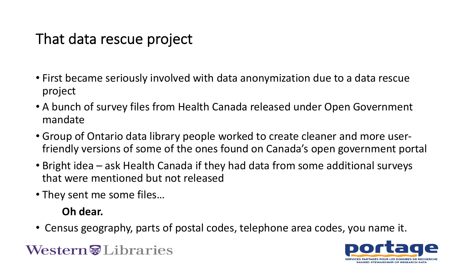### That data rescue project

- First became seriously involved with data anonymization due to a data rescue project
- A bunch of survey files from Health Canada released under Open Government mandate
- Group of Ontario data library people worked to create cleaner and more userfriendly versions of some of the ones found on Canada's open government portal
- Bright idea ask Health Canada if they had data from some additional surveys that were mentioned but not released
- They sent me some files…

#### **Oh dear.**

• Census geography, parts of postal codes, telephone area codes, you name it.

**Western** Libraries

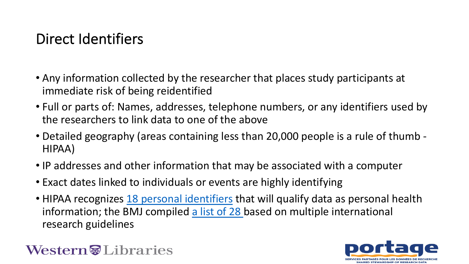## Direct Identifiers

- Any information [collected by the researc](https://www.hipaajournal.com/considered-phi-hipaa/)her that place immediate risk of being reident[ified](https://www.bmj.com/content/340/bmj.c181)
- Full or parts of: Names, addresses, telephone number, the researchers to link data to one of the above
- Detailed geography (areas containing less than 20,000 HIPAA)
- IP addresses and other information that may be association
- Exact dates linked to individuals or events are highly ic
- HIPAA recognizes 18 personal identifiers that will quali information; the BMJ compiled a list of 28 based on m research guidelines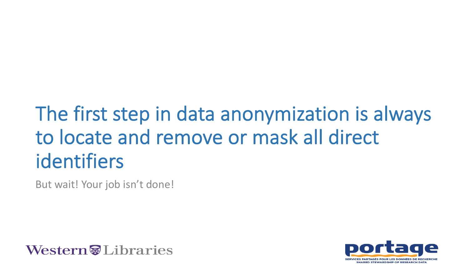# The first step in data anonymization is always to locate and remove or mask all direct identifiers

But wait! Your job isn't done!



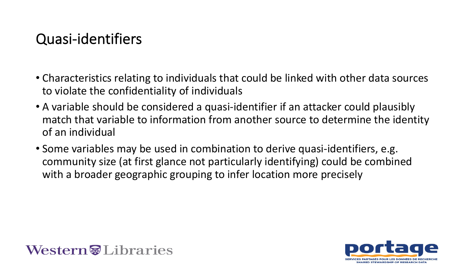### Quasi-identifiers

- Characteristics relating to individuals that could be linked with other data sources to violate the confidentiality of individuals
- A variable should be considered a quasi-identifier if an attacker could plausibly match that variable to information from another source to determine the identity of an individual
- Some variables may be used in combination to derive quasi-identifiers, e.g. community size (at first glance not particularly identifying) could be combined with a broader geographic grouping to infer location more precisely



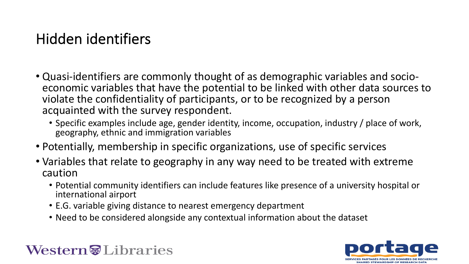### Hidden identifiers

- Quasi-identifiers are commonly thought of as demographic variables and socio-<br>economic variables that have the potential to be linked with other data sources to violate the confidentiality of participants, or to be recognized by a person acquainted with the survey respondent.
	- Specific examples include age, gender identity, income, occupation, industry / place of work, geography, ethnic and immigration variables
- Potentially, membership in specific organizations, use of specific services
- Variables that relate to geography in any way need to be treated with extreme caution
	- Potential community identifiers can include features like presence of a university hospital or international airport
	- E.G. variable giving distance to nearest emergency department
	- Need to be considered alongside any contextual information about the dataset

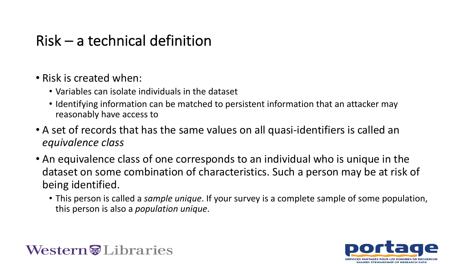### Risk – a technical definition

- Risk is created when:
	- Variables can isolate individuals in the dataset
	- Identifying information can be matched to persistent information that an attacker may reasonably have access to
- A set of records that has the same values on all quasi-identifiers is called an *equivalence class*
- An equivalence class of one corresponds to an individual who is unique in the dataset on some combination of characteristics. Such a person may be at risk of being identified.
	- This person is called a *sample unique*. If your survey is a complete sample of some population, this person is also a *population unique*.

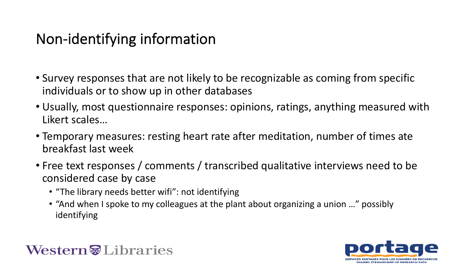### Non-identifying information

- Survey responses that are not likely to be recognizable as coming from specific individuals or to show up in other databases
- Usually, most questionnaire responses: opinions, ratings, anything measured with Likert scales…
- Temporary measures: resting heart rate after meditation, number of times ate breakfast last week
- Free text responses / comments / transcribed qualitative interviews need to be considered case by case
	- "The library needs better wifi": not identifying
	- "And when I spoke to my colleagues at the plant about organizing a union …" possibly identifying

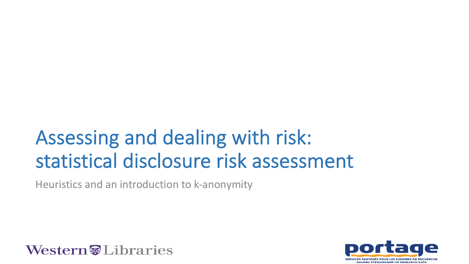# Assessing and dealing with risk: statistical disclosure risk assessment

Heuristics and an introduction to k-anonymity



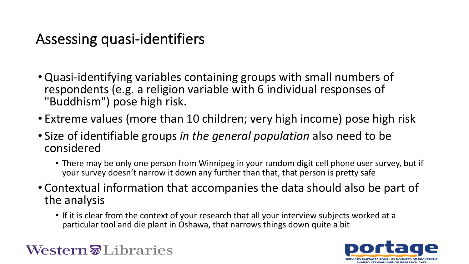### Assessing quasi-identifiers

- Quasi-identifying variables containing groups with small numbers of respondents (e.g. a religion variable with 6 individual responses of "Buddhism") pose high risk.
- Extreme values (more than 10 children; very high income) pose high risk
- Size of identifiable groups *in the general population* also need to be considered
	- There may be only one person from Winnipeg in your random digit cell phone user survey, but if your survey doesn't narrow it down any further than that, that person is pretty safe
- Contextual information that accompanies the data should also be part of the analysis
	- If it is clear from the context of your research that all your interview subjects worked at a particular tool and die plant in Oshawa, that narrows things down quite a bit



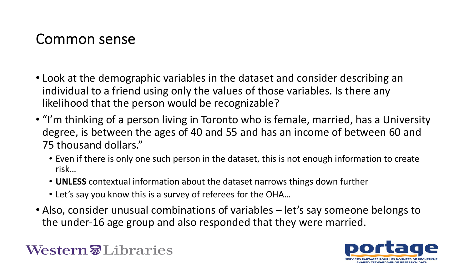#### Common sense

- Look at the demographic variables in the dataset and consider describing an individual to a friend using only the values of those variables. Is there any likelihood that the person would be recognizable?
- "I'm thinking of a person living in Toronto who is female, married, has a University degree, is between the ages of 40 and 55 and has an income of between 60 and 75 thousand dollars."
	- Even if there is only one such person in the dataset, this is not enough information to create risk…
	- **UNLESS** contextual information about the dataset narrows things down further
	- Let's say you know this is a survey of referees for the OHA…
- Also, consider unusual combinations of variables let's say someone belongs to the under-16 age group and also responded that they were married.

#### Western Jubraries

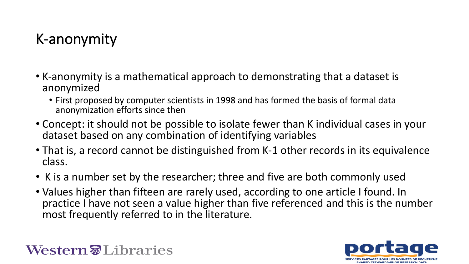## K-anonymity

- K-anonymity is a mathematical approach to demonstrating that a dataset is anonymized
	- First proposed by computer scientists in 1998 and has formed the basis of formal data anonymization efforts since then
- Concept: it should not be possible to isolate fewer than K individual cases in your dataset based on any combination of identifying variables
- That is, a record cannot be distinguished from K-1 other records in its equivalence class.
- K is a number set by the researcher; three and five are both commonly used
- Values higher than fifteen are rarely used, according to one article I found. In practice I have not seen a value higher than five referenced and this is the number most frequently referred to in the literature.



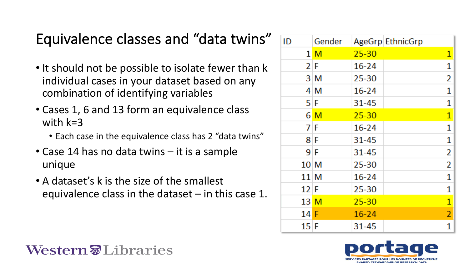### Equivalence classes and "data twins"

- It should not be possible to isolate fewer than k individual cases in your dataset based on any combination of identifying variables
- Cases 1, 6 and 13 form an equivalence class with k=3
	- Each case in the equivalence class has 2 "data twins"
- Case 14 has no data twins it is a sample unique
- A dataset's k is the size of the smallest equivalence class in the dataset  $-$  in this case 1.

| ID     | Gender         |           | AgeGrp EthnicGrp |                |
|--------|----------------|-----------|------------------|----------------|
|        |                |           |                  |                |
|        | 1 <sub>M</sub> | $25 - 30$ |                  | 1              |
|        | 2 F            | $16 - 24$ |                  | 1              |
|        | 3 M            | 25-30     |                  | 2              |
|        | 4 M            | 16-24     |                  | 1              |
|        | 5 F            | 31-45     |                  | 1              |
|        | 6 M            | $25 - 30$ |                  | $\mathbf{1}$   |
|        | 7 F            | $16 - 24$ |                  | 1              |
|        | 8 F            | 31-45     |                  | 1              |
|        | 9 F            | 31-45     |                  | 2              |
| 10 M   |                | 25-30     |                  | 2              |
| 11 M   |                | $16 - 24$ |                  | 1              |
| $12$ F |                | 25-30     |                  | 1              |
| 13 M   |                | $25 - 30$ |                  | $\mathbf{1}$   |
| 14 F   |                | $16 - 24$ |                  | $\overline{2}$ |
| 15 F   |                | 31-45     |                  | 1              |



**Western** Libraries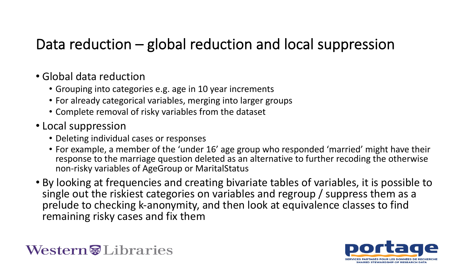### Data reduction – global reduction and local suppression

- Global data reduction
	- Grouping into categories e.g. age in 10 year increments
	- For already categorical variables, merging into larger groups
	- Complete removal of risky variables from the dataset
- Local suppression
	- Deleting individual cases or responses
	- For example, a member of the 'under 16' age group who responded 'married' might have their response to the marriage question deleted as an alternative to further recoding the otherwise non-risky variables of AgeGroup or MaritalStatus
- By looking at frequencies and creating bivariate tables of variables, it is possible to single out the riskiest categories on variables and regroup / suppress them as a prelude to checking k-anonymity, and then look at equivalence classes to find remaining risky cases and fix them



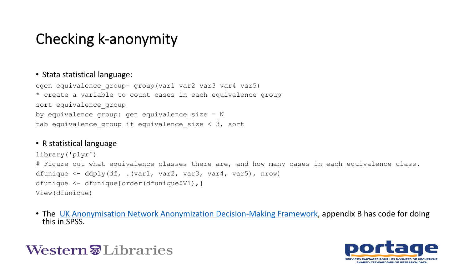### Checking k-anonymity

#### • Stata statistical language:

```
egen equivalence group= group(var1 var2 var3 var4 var5)
* create a variable to count cases in each equivalence group
sort equivalence group
by equivalence group: gen equivalence size = N
tab equivalence group if equivalence size \langle 3, \text{sort} \rangle
```
#### • R statistical language

```
library('plyr')
# Figure out what equivalence classes there are, and how many cas
dfunique <- ddply(df, .(var1, var2, var3, var4, var5), nrow)
dfunique <- dfunique[order(dfunique$V1),]
View(dfunique)
```
• The UK Anonymisation Network Anonymization Decision-Making Frame this in SPSS.

#### Western Jubraries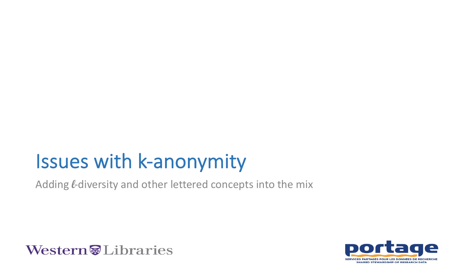# Issues with k-anonymity

Adding *L*-diversity and other lettered concepts into the mix



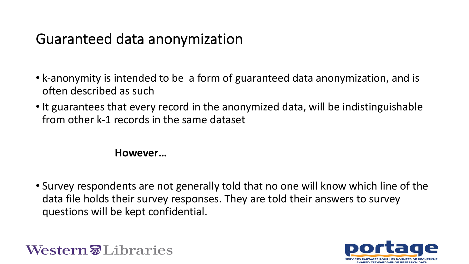### Guaranteed data anonymization

- k-anonymity is intended to be a form of guaranteed data anonymization, and is often described as such
- It guarantees that every record in the anonymized data, will be indistinguishable from other k-1 records in the same dataset

#### **However…**

• Survey respondents are not generally told that no one will know which line of the data file holds their survey responses. They are told their answers to survey questions will be kept confidential.



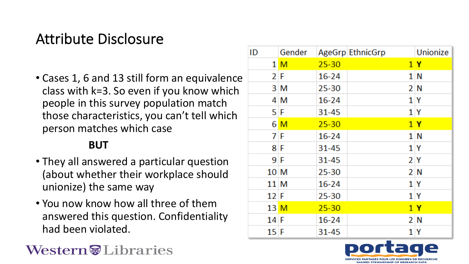### Attribute Disclosure

• Cases 1, 6 and 13 still form an equivalence class with k=3. So even if you know which people in this survey population match those characteristics, you can't tell which person matches which case

#### **BUT**

- They all answered a particular question (about whether their workplace should unionize) the same way
- You now know how all three of them answered this question. Confidentiality had been violated.

#### **Western** Libraries

| ID     | Gender         |           | AgeGrp EthnicGrp | Unionize       |
|--------|----------------|-----------|------------------|----------------|
|        | 1 <sub>M</sub> | $25 - 30$ |                  | 1Y             |
| 2 F    |                | $16 - 24$ |                  | 1N             |
|        | 3 M            | 25-30     |                  | 2 N            |
|        | 4 M            | $16 - 24$ |                  | 1 Y            |
| 5 F    |                | 31-45     |                  | 1 Y            |
|        | 6 M            | $25 - 30$ |                  | 1Y             |
| 7 F    |                | $16 - 24$ |                  | 1 N            |
| 8F     |                | 31-45     |                  | 1 Y            |
| 9 F    |                | $31 - 45$ |                  | 2 <sub>Y</sub> |
| 10 M   |                | 25-30     |                  | 2N             |
| 11 M   |                | $16 - 24$ |                  | 1 Y            |
| 12 F   |                | 25-30     |                  | 1Y             |
| 13 M   |                | $25 - 30$ |                  | 1Y             |
| $14$ F |                | $16 - 24$ |                  | 2N             |
| 15F    |                | 31-45     |                  | 1 Y            |

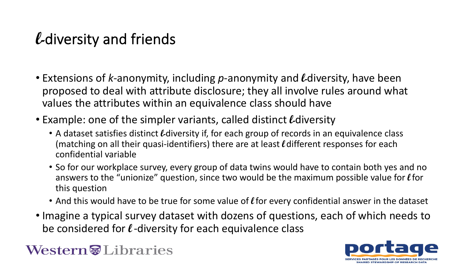## **l-**diversity and friends

- Extensions of *k*-anonymity, including *p*-anonymity and **l-**diversity, have been proposed to deal with attribute disclosure; they all involve rules around what values the attributes within an equivalence class should have
- Example: one of the simpler variants, called distinct **l-**diversity
	- A dataset satisfies distinct *L*-diversity if, for each group of records in an equivalence class (matching on all their quasi-identifiers) there are at least **l**different responses for each confidential variable
	- So for our workplace survey, every group of data twins would have to contain both yes and no answers to the "unionize" question, since two would be the maximum possible value for **l**for this question
	- And this would have to be true for some value of **l** for every confidential answer in the dataset
- Imagine a typical survey dataset with dozens of questions, each of which needs to be considered for **l** -diversity for each equivalence class

#### **Western** Libraries

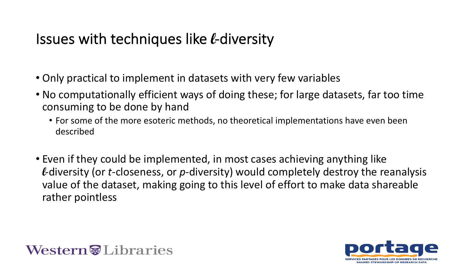### Issues with techniques like **l**-diversity

- Only practical to implement in datasets with very few variables
- No computationally efficient ways of doing these; for large datasets, far too time consuming to be done by hand
	- For some of the more esoteric methods, no theoretical implementations have even been described
- Even if they could be implemented, in most cases achieving anything like **l**-diversity (or *t*-closeness, or *p*-diversity) would completely destroy the reanalysis value of the dataset, making going to this level of effort to make data shareable rather pointless



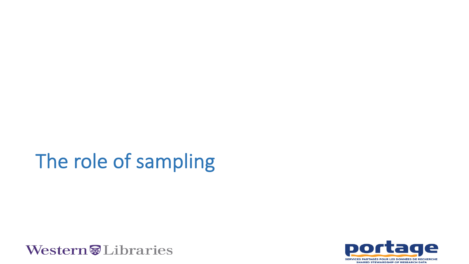# The role of sampling



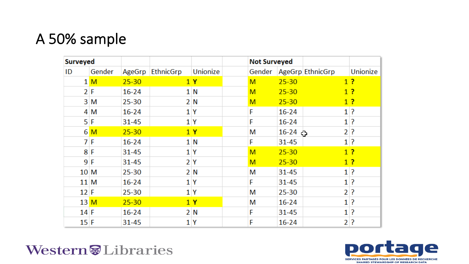### A 50% sample

| <b>Surveyed</b> |              |           |           |                | <b>Not Surveyed</b> |           |                           |              |          |
|-----------------|--------------|-----------|-----------|----------------|---------------------|-----------|---------------------------|--------------|----------|
| ID              | Gender       | AgeGrp    | EthnicGrp | Unionize       |                     |           | Gender   AgeGrp EthnicGrp |              | Unionize |
|                 | $1\,$ M $\,$ | $25 - 30$ |           | 1Y             | M                   | $25 - 30$ |                           |              | 1?       |
|                 | 2 F          | $16 - 24$ |           | 1 N            | M                   | $25 - 30$ |                           |              | 1?       |
|                 | 3 M          | $25 - 30$ |           | 2 N            | M                   | $25 - 30$ |                           |              | 1?       |
|                 | 4 M          | $16 - 24$ |           | 1 <sup>Y</sup> | F                   | $16 - 24$ |                           |              | $1$ ?    |
|                 | $5$ F        | 31-45     |           | 1 Y            | F                   | $16 - 24$ |                           |              | $1$ ?    |
|                 | 6 M          | $25 - 30$ |           | 1Y             | M                   | $16-24$   |                           | $\mathbf{2}$ | ?        |
|                 | 7 F          | $16 - 24$ |           | 1 N            | F                   | $31 - 45$ |                           |              | $1$ ?    |
|                 | 8 F          | 31-45     |           | 1 Y            | M                   | $25 - 30$ |                           |              | 1?       |
|                 | 9F           | $31 - 45$ |           | 2Y             | M                   | $25 - 30$ |                           |              | 1?       |
| 10 M            |              | 25-30     |           | 2N             | М                   | 31-45     |                           |              | $1$ ?    |
| 11 M            |              | $16 - 24$ |           | 1 Y            | F                   | $31 - 45$ |                           | $\mathbf{1}$ | P        |
| 12 F            |              | $25 - 30$ |           | 1 Y            | M                   | 25-30     |                           |              | $2$ ?    |
| 13M             |              | $25 - 30$ |           | 1Y             | M                   | $16 - 24$ |                           |              | $1$ ?    |
| 14 F            |              | $16 - 24$ |           | 2N             | F                   | 31-45     |                           | $\mathbf{1}$ | P        |
| 15 F            |              | $31 - 45$ |           | 1Y             | F                   | $16 - 24$ |                           |              | $2$ ?    |

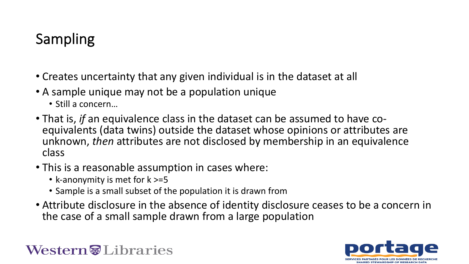## Sampling

- Creates uncertainty that any given individual is in the dataset at all
- A sample unique may not be a population unique
	- Still a concern…
- That is, *if* an equivalence class in the dataset can be assumed to have co-<br>equivalents (data twins) outside the dataset whose opinions or attributes are unknown, *then* attributes are not disclosed by membership in an equivalence class
- This is a reasonable assumption in cases where:
	- k-anonymity is met for k >=5
	- Sample is a small subset of the population it is drawn from
- Attribute disclosure in the absence of identity disclosure ceases to be a concern in the case of a small sample drawn from a large population

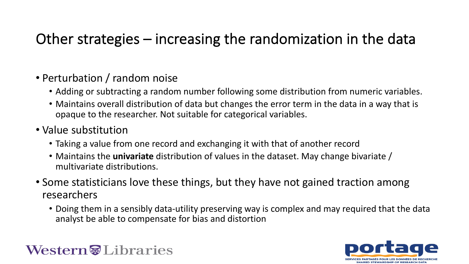### Other strategies – increasing the randomization in the data

#### • Perturbation / random noise

- Adding or subtracting a random number following some distribution from numeric variables.
- Maintains overall distribution of data but changes the error term in the data in a way that is opaque to the researcher. Not suitable for categorical variables.
- Value substitution
	- Taking a value from one record and exchanging it with that of another record
	- Maintains the **univariate** distribution of values in the dataset. May change bivariate / multivariate distributions.
- Some statisticians love these things, but they have not gained traction among researchers
	- Doing them in a sensibly data-utility preserving way is complex and may required that the data analyst be able to compensate for bias and distortion

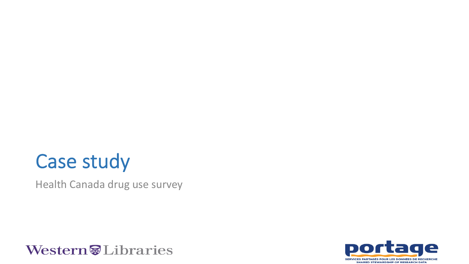## Case study

Health Canada drug use survey



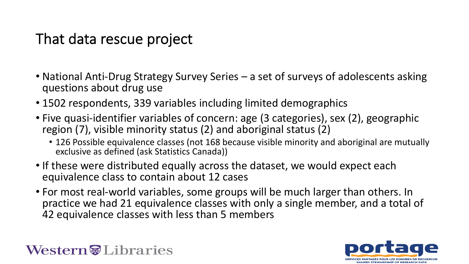### That data rescue project

- National Anti-Drug Strategy Survey Series a set of surveys of adolescents asking questions about drug use
- 1502 respondents, 339 variables including limited demographics
- Five quasi-identifier variables of concern: age (3 categories), sex (2), geographic region (7), visible minority status (2) and aboriginal status (2)
	- 126 Possible equivalence classes (not 168 because visible minority and aboriginal are mutually exclusive as defined (ask Statistics Canada))
- If these were distributed equally across the dataset, we would expect each equivalence class to contain about 12 cases
- For most real-world variables, some groups will be much larger than others. In practice we had 21 equivalence classes with only a single member, and a total of 42 equivalence classes with less than 5 members



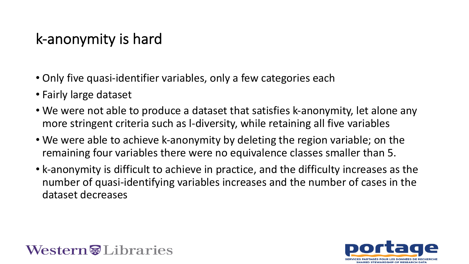### k-anonymity is hard

- Only five quasi-identifier variables, only a few categories each
- Fairly large dataset
- We were not able to produce a dataset that satisfies k-anonymity, let alone any more stringent criteria such as l-diversity, while retaining all five variables
- We were able to achieve k-anonymity by deleting the region variable; on the remaining four variables there were no equivalence classes smaller than 5.
- k-anonymity is difficult to achieve in practice, and the difficulty increases as the number of quasi-identifying variables increases and the number of cases in the dataset decreases



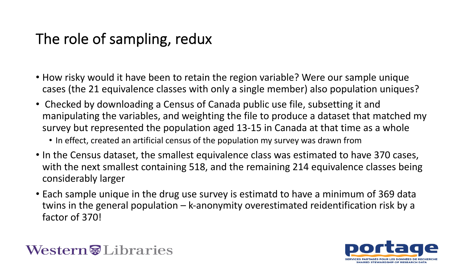### The role of sampling, redux

- How risky would it have been to retain the region variable? Were our sample unique cases (the 21 equivalence classes with only a single member) also population uniques?
- Checked by downloading a Census of Canada public use file, subsetting it and manipulating the variables, and weighting the file to produce a dataset that matched my survey but represented the population aged 13-15 in Canada at that time as a whole
	- In effect, created an artificial census of the population my survey was drawn from
- In the Census dataset, the smallest equivalence class was estimated to have 370 cases, with the next smallest containing 518, and the remaining 214 equivalence classes being considerably larger
- Each sample unique in the drug use survey is estimatd to have a minimum of 369 data twins in the general population – k-anonymity overestimated reidentification risk by a factor of 370!

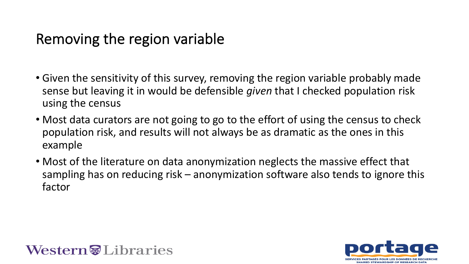### Removing the region variable

- Given the sensitivity of this survey, removing the region variable probably made sense but leaving it in would be defensible *given* that I checked population risk using the census
- Most data curators are not going to go to the effort of using the census to check population risk, and results will not always be as dramatic as the ones in this example
- Most of the literature on data anonymization neglects the massive effect that sampling has on reducing risk – anonymization software also tends to ignore this factor



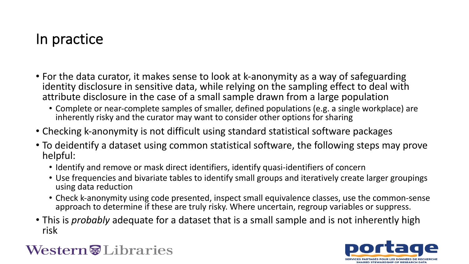### In practice

- For the data curator, it makes sense to look at k-anonymity as a way of safeguarding identity disclosure in sensitive data, while relying on the sampling effect to deal with attribute disclosure in the case of a small sample drawn from a large population
	- Complete or near-complete samples of smaller, defined populations (e.g. a single workplace) are inherently risky and the curator may want to consider other options for sharing
- Checking k-anonymity is not difficult using standard statistical software packages
- To deidentify a dataset using common statistical software, the following steps may prove helpful:
	- Identify and remove or mask direct identifiers, identify quasi-identifiers of concern
	- Use frequencies and bivariate tables to identify small groups and iteratively create larger groupings using data reduction
	- Check k-anonymity using code presented, inspect small equivalence classes, use the common-sense approach to determine if these are truly risky. Where uncertain, regroup variables or suppress.
- This is *probably* adequate for a dataset that is a small sample and is not inherently high risk

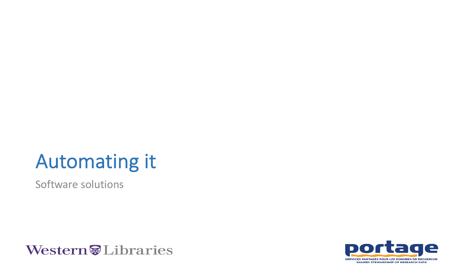## Automating it

Software solutions



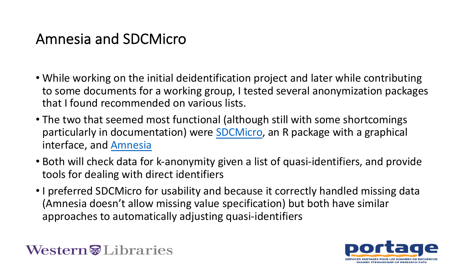## Amnesia and SDCMicro

- While working on the initial deidentification project ar to some documents for a working group, I tested several that I found recommended on various lists.
- The two that seemed most functional (although still w particularly in documentation) were **SDCMicro**, an R pa interface, and Amnesia
- Both will check data for k-anonymity given a list of qua tools for dealing with direct identifiers
- I preferred SDCMicro for usability and because it corre (Amnesia doesn't allow missing value specification) but approaches to automatically adjusting quasi-identifier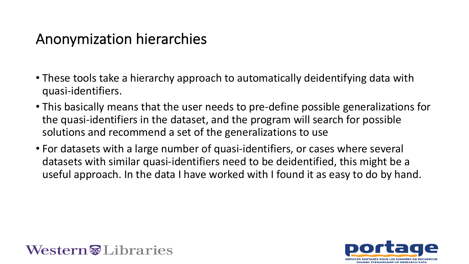### Anonymization hierarchies

- These tools take a hierarchy approach to automatically deidentifying data with quasi-identifiers.
- This basically means that the user needs to pre-define possible generalizations for the quasi-identifiers in the dataset, and the program will search for possible solutions and recommend a set of the generalizations to use
- For datasets with a large number of quasi-identifiers, or cases where several datasets with similar quasi-identifiers need to be deidentified, this might be a useful approach. In the data I have worked with I found it as easy to do by hand.



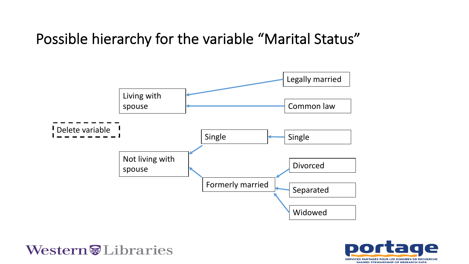#### Possible hierarchy for the variable "Marital Status"



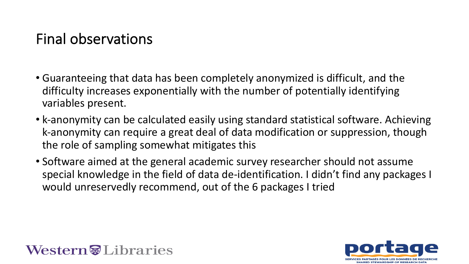### Final observations

- Guaranteeing that data has been completely anonymized is difficult, and the difficulty increases exponentially with the number of potentially identifying variables present.
- k-anonymity can be calculated easily using standard statistical software. Achieving k-anonymity can require a great deal of data modification or suppression, though the role of sampling somewhat mitigates this
- Software aimed at the general academic survey researcher should not assume special knowledge in the field of data de-identification. I didn't find any packages I would unreservedly recommend, out of the 6 packages I tried



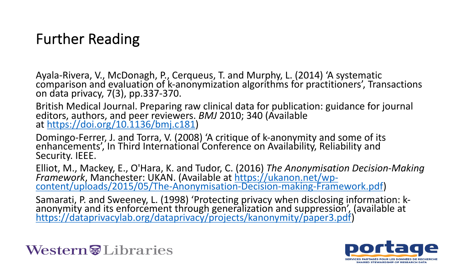### Further Reading

Ayala-Rivera, V., McDonagh, P., Cerqueus, T. and Murphy, L. (<br>comparison and evaluation of k-anonymization algorithms fo on data privacy, [7\(3\), pp.337-370.](https://dataprivacylab.org/dataprivacy/projects/kanonymity/paper3.pdf)

British Medical Journal. Preparing raw clinical data for publication: editors, authors, and peer reviewers. *BMJ* 2010; 340 (Availab at https://doi.org/10.1136/bmj.c181)

Domingo-Ferrer, J. and Torra, V. (2008) 'A critique of k-anonying and some of its enhancements', In Third International Conference on Availability Security. IEEE.

Elliot, M., Mackey, E., O'Hara, K. and Tudor, C. (2016) *The Anonymisation Decision-Making Framework*, Manchester: UKAN. (Available at https://ukanon<br>.content/uploads/2015/05/The-Anonymisation-Decision-mak

Samarati, P. and Sweeney, L. (1998) 'Protecting privacy when anonymity and its enforcement through generalization and s https://dataprivacylab.org/dataprivacy/projects/kanonymity